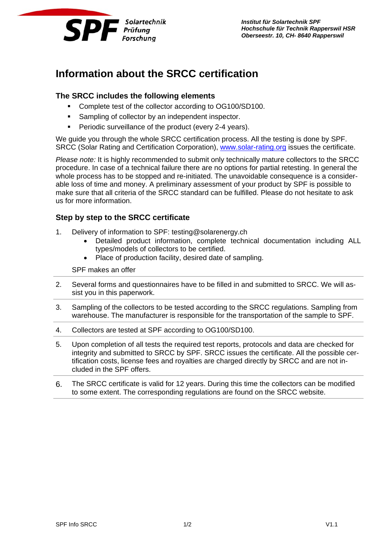

*Institut für Solartechnik SPF Hochschule für Technik Rapperswil HSR Oberseestr. 10, CH- 8640 Rapperswil*

# **Information about the SRCC certification**

# **The SRCC includes the following elements**

- **Complete test of the collector according to OG100/SD100.**
- **Sampling of collector by an independent inspector.**
- **Periodic surveillance of the product (every 2-4 years).**

We guide you through the whole SRCC certification process. All the testing is done by SPF. SRCC (Solar Rating and Certification Corporation), www.solar-rating.org issues the certificate.

*Please note:* It is highly recommended to submit only technically mature collectors to the SRCC procedure. In case of a technical failure there are no options for partial retesting. In general the whole process has to be stopped and re-initiated. The unavoidable consequence is a considerable loss of time and money. A preliminary assessment of your product by SPF is possible to make sure that all criteria of the SRCC standard can be fulfilled. Please do not hesitate to ask us for more information.

# **Step by step to the SRCC certificate**

- 1. Delivery of information to SPF: testing@solarenergy.ch
	- Detailed product information, complete technical documentation including ALL types/models of collectors to be certified.
	- Place of production facility, desired date of sampling.

SPF makes an offer

- 2. Several forms and questionnaires have to be filled in and submitted to SRCC. We will assist you in this paperwork.
- 3. Sampling of the collectors to be tested according to the SRCC regulations. Sampling from warehouse. The manufacturer is responsible for the transportation of the sample to SPF.
- 4. Collectors are tested at SPF according to OG100/SD100.
- 5. Upon completion of all tests the required test reports, protocols and data are checked for integrity and submitted to SRCC by SPF. SRCC issues the certificate. All the possible certification costs, license fees and royalties are charged directly by SRCC and are not included in the SPF offers.
- 6. The SRCC certificate is valid for 12 years. During this time the collectors can be modified to some extent. The corresponding regulations are found on the SRCC website.